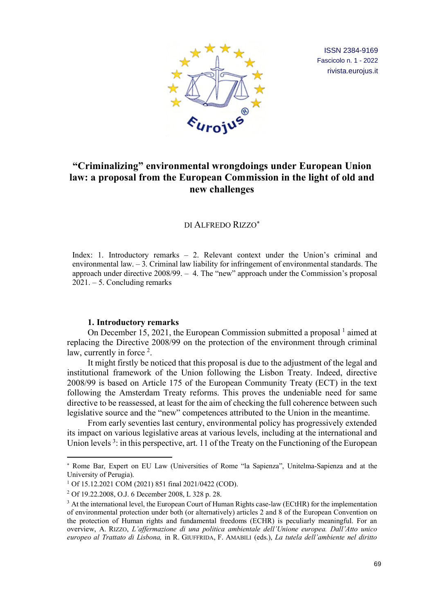

ISSN 2384-9169 Fascicolo n. 1 - 2022 [rivista.eurojus.it](http://rivista.eurojus.it)

# **"Criminalizing" environmental wrongdoings under European Union law: a proposal from the European Commission in the light of old and new challenges**

#### DI ALFREDO RIZZO\*

Index: 1. Introductory remarks – 2. Relevant context under the Union's criminal and environmental law. – 3. Criminal law liability for infringement of environmental standards. The approach under directive 2008/99. – 4. The "new" approach under the Commission's proposal 2021. – 5. Concluding remarks

### **1. Introductory remarks**

On December 15, 2021, the European Commission submitted a proposal  $\frac{1}{2}$  aimed at replacing the Directive 2008/99 on the protection of the environment through criminal law, currently in force 2.

It might firstly be noticed that this proposal is due to the adjustment of the legal and institutional framework of the Union following the Lisbon Treaty. Indeed, directive 2008/99 is based on Article 175 of the European Community Treaty (ECT) in the text following the Amsterdam Treaty reforms. This proves the undeniable need for same directive to be reassessed, at least for the aim of checking the full coherence between such legislative source and the "new" competences attributed to the Union in the meantime.

From early seventies last century, environmental policy has progressively extended its impact on various legislative areas at various levels, including at the international and Union levels<sup>3</sup>: in this perspective, art. 11 of the Treaty on the Functioning of the European

<sup>\*</sup> Rome Bar, Expert on EU Law (Universities of Rome "la Sapienza", Unitelma-Sapienza and at the University of Perugia).

<sup>1</sup> Of 15.12.2021 COM (2021) 851 final 2021/0422 (COD).

<sup>2</sup> Of 19.22.2008, O.J. 6 December 2008, L 328 p. 28.

<sup>&</sup>lt;sup>3</sup> At the international level, the European Court of Human Rights case-law (ECtHR) for the implementation of environmental protection under both (or alternatively) articles 2 and 8 of the European Convention on the protection of Human rights and fundamental freedoms (ECHR) is peculiarly meaningful. For an overview, A. RIZZO, *L'affermazione di una politica ambientale dell'Unione europea. Dall'Atto unico europeo al Trattato di Lisbona,* in R. GIUFFRIDA, F. AMABILI (eds.), *La tutela dell'ambiente nel diritto*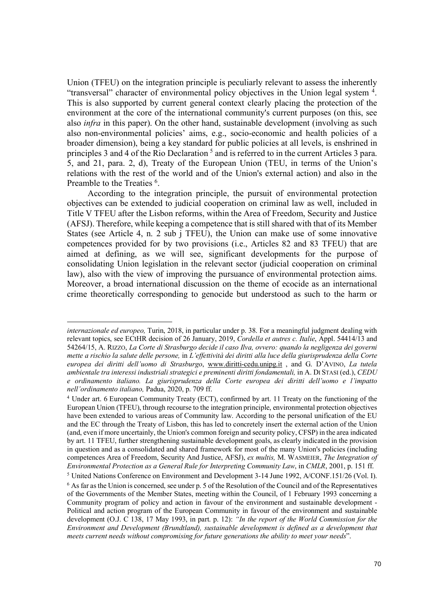Union (TFEU) on the integration principle is peculiarly relevant to assess the inherently "transversal" character of environmental policy objectives in the Union legal system <sup>4</sup>. This is also supported by current general context clearly placing the protection of the environment at the core of the international community's current purposes (on this, see also *infra* in this paper). On the other hand, sustainable development (involving as such also non-environmental policies' aims, e.g., socio-economic and health policies of a broader dimension), being a key standard for public policies at all levels, is enshrined in principles 3 and 4 of the Rio Declaration<sup>5</sup> and is referred to in the current Articles 3 para. 5, and 21, para. 2, d), Treaty of the European Union (TEU, in terms of the Union's relations with the rest of the world and of the Union's external action) and also in the Preamble to the Treaties <sup>6</sup>.

According to the integration principle, the pursuit of environmental protection objectives can be extended to judicial cooperation on criminal law as well, included in Title V TFEU after the Lisbon reforms, within the Area of Freedom, Security and Justice (AFSJ). Therefore, while keeping a competence that is still shared with that of its Member States (see Article 4, n. 2 sub j TFEU), the Union can make use of some innovative competences provided for by two provisions (i.e., Articles 82 and 83 TFEU) that are aimed at defining, as we will see, significant developments for the purpose of consolidating Union legislation in the relevant sector (judicial cooperation on criminal law), also with the view of improving the pursuance of environmental protection aims. Moreover, a broad international discussion on the theme of ecocide as an international crime theoretically corresponding to genocide but understood as such to the harm or

 $\overline{\phantom{a}}$ 

<sup>5</sup> United Nations Conference on Environment and Development 3-14 June 1992, A/CONF.151/26 (Vol. I). <sup>6</sup> As far as the Union is concerned, see under p. 5 of the Resolution of the Council and of the Representatives of the Governments of the Member States, meeting within the Council, of 1 February 1993 concerning a Community program of policy and action in favour of the environment and sustainable development - Political and action program of the European Community in favour of the environment and sustainable development (O.J. C 138, 17 May 1993, in part. p. 12): *"In the report of the World Commission for the Environment and Development (Brundtland), sustainable development is defined as a development that meets current needs without compromising for future generations the ability to meet your needs*".

*internazionale ed europeo,* Turin, 2018, in particular under p. 38. For a meaningful judgment dealing with relevant topics, see ECtHR decision of 26 January, 2019, *Cordella et autres c. Italie*, Appl. 54414/13 and 54264/15, A. RIZZO, *La Corte di Strasburgo decide il caso Ilva, ovvero: quando la negligenza dei governi mette a rischio la salute delle persone,* in *L'effettività dei diritti alla luce della giurisprudenza della Corte europea dei diritti dell'uomo di Strasburgo*, www.diritti-cedu.unipg.it , and G. D'AVINO, *La tutela ambientale tra interessi industriali strategici e preminenti diritti fondamentali,* in A. DI STASI (ed.), *CEDU e ordinamento italiano. La giurisprudenza della Corte europea dei diritti dell'uomo e l'impatto nell'ordinamento italiano*, Padua, 2020, p. 709 ff.<br><sup>4</sup> Under art. 6 European Community Treaty (ECT), confirmed by art. 11 Treaty on the functioning of the

European Union (TFEU), through recourse to the integration principle, environmental protection objectives have been extended to various areas of Community law. According to the personal unification of the EU and the EC through the Treaty of Lisbon, this has led to concretely insert the external action of the Union (and, even if more uncertainly, the Union's common foreign and security policy, CFSP) in the area indicated by art. 11 TFEU, further strengthening sustainable development goals, as clearly indicated in the provision in question and as a consolidated and shared framework for most of the many Union's policies (including competences Area of Freedom, Security And Justice, AFSJ), *ex multis,* M. WASMEIER, *The Integration of Environmental Protection as a General Rule for Interpreting Community Law*, in *CMLR*, 2001, p. 151 ff.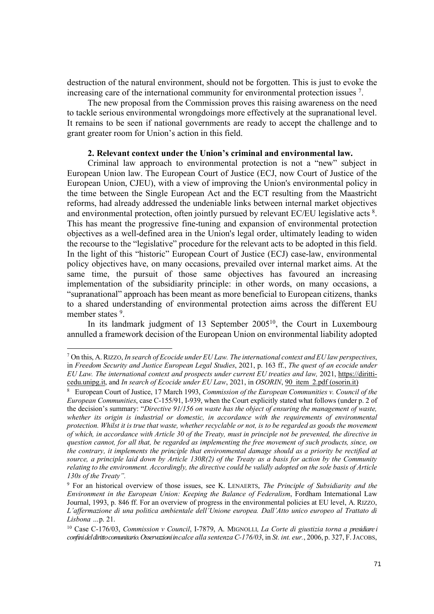destruction of the natural environment, should not be forgotten. This is just to evoke the increasing care of the international community for environmental protection issues 7.

The new proposal from the Commission proves this raising awareness on the need to tackle serious environmental wrongdoings more effectively at the supranational level. It remains to be seen if national governments are ready to accept the challenge and to grant greater room for Union's action in this field.

## **2. Relevant context under the Union's criminal and environmental law.**

Criminal law approach to environmental protection is not a "new" subject in European Union law. The European Court of Justice (ECJ, now Court of Justice of the European Union, CJEU), with a view of improving the Union's environmental policy in the time between the Single European Act and the ECT resulting from the Maastricht reforms, had already addressed the undeniable links between internal market objectives and environmental protection, often jointly pursued by relevant EC/EU legislative acts 8. This has meant the progressive fine-tuning and expansion of environmental protection objectives as a well-defined area in the Union's legal order, ultimately leading to widen the recourse to the "legislative" procedure for the relevant acts to be adopted in this field. In the light of this "historic" European Court of Justice (ECJ) case-law, environmental policy objectives have, on many occasions, prevailed over internal market aims. At the same time, the pursuit of those same objectives has favoured an increasing implementation of the subsidiarity principle: in other words, on many occasions, a "supranational" approach has been meant as more beneficial to European citizens, thanks to a shared understanding of environmental protection aims across the different EU member states <sup>9</sup>.

In its landmark judgment of 13 September 2005<sup>10</sup>, the Court in Luxembourg annulled a framework decision of the European Union on environmental liability adopted

<sup>7</sup> On this, A.RIZZO, *In search of Ecocide under EU Law. The international context and EU law perspectives*, in *Freedom Security and Justice European Legal Studies*, 2021, p. 163 ff., *The quest of an ecocide under EU Law. The international context and prospects under current EU treaties and law,* 2021, https://diritticedu.unipg.it, and *In search of Ecocide under EU Law*, 2021, in *OSORIN*, 90\_item\_2.pdf (osorin.it)

<sup>8</sup> European Court of Justice, 17 March 1993, *Commission of the European Communities v. Council of the European Communities*, case C-155/91, I-939, when the Court explicitly stated what follows (under p. 2 of the decision's summary: "*Directive 91/156 on waste has the object of ensuring the management of waste, whether its origin is industrial or domestic, in accordance with the requirements of environmental protection. Whilst it is true that waste, whether recyclable or not, is to be regarded as goods the movement of which, in accordance with Article 30 of the Treaty, must in principle not be prevented, the directive in question cannot, for all that, be regarded as implementing the free movement of such products, since, on the contrary, it implements the principle that environmental damage should as a priority be rectified at source, a principle laid down by Article 130R(2) of the Treaty as a basis for action by the Community relating to the environment. Accordingly, the directive could be validly adopted on the sole basis of Article 130s of the Treaty".*

<sup>9</sup> For an historical overview of those issues, see K. LENAERTS, *The Principle of Subsidiarity and the Environment in the European Union: Keeping the Balance of Federalism*, Fordham International Law Journal, 1993, p. 846 ff. For an overview of progress in the environmental policies at EU level, A. RIZZO, *L'affermazione di una politica ambientale dell'Unione europea. Dall'Atto unico europeo al Trattato di Lisbona …*p. 21.

<sup>10</sup> Case C-176/03, *Commission v Council*, I-7879, A. MIGNOLLI*, La Corte di giustizia torna a presidiare i confini del diritto comunitario. Osservazioni in calce alla sentenza C-176/03*, in *St. int. eur.*, 2006, p. 327, F. JACOBS,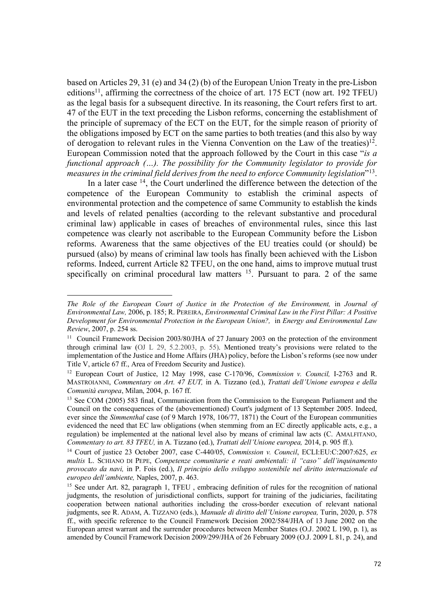based on Articles 29, 31 (e) and 34 (2) (b) of the European Union Treaty in the pre-Lisbon editions<sup>11</sup>, affirming the correctness of the choice of art. 175 ECT (now art. 192 TFEU) as the legal basis for a subsequent directive. In its reasoning, the Court refers first to art. 47 of the EUT in the text preceding the Lisbon reforms, concerning the establishment of the principle of supremacy of the ECT on the EUT, for the simple reason of priority of the obligations imposed by ECT on the same parties to both treaties (and this also by way of derogation to relevant rules in the Vienna Convention on the Law of the treaties)<sup>12</sup>. European Commission noted that the approach followed by the Court in this case "*is a functional approach (…). The possibility for the Community legislator to provide for measures in the criminal field derives from the need to enforce Community legislation*"13.

In a later case <sup>14</sup>, the Court underlined the difference between the detection of the competence of the European Community to establish the criminal aspects of environmental protection and the competence of same Community to establish the kinds and levels of related penalties (according to the relevant substantive and procedural criminal law) applicable in cases of breaches of environmental rules, since this last competence was clearly not ascribable to the European Community before the Lisbon reforms. Awareness that the same objectives of the EU treaties could (or should) be pursued (also) by means of criminal law tools has finally been achieved with the Lisbon reforms. Indeed, current Article 82 TFEU, on the one hand, aims to improve mutual trust specifically on criminal procedural law matters  $15$ . Pursuant to para. 2 of the same

*The Role of the European Court of Justice in the Protection of the Environment,* in *Journal of Environmental Law,* 2006, p. 185; R. PEREIRA, *Environmental Criminal Law in the First Pillar: A Positive Development for Environmental Protection in the European Union?,* in *Energy and Environmental Law Review*, 2007, p. 254 ss.<br><sup>11</sup> Council Framework Decision 2003/80/JHA of 27 January 2003 on the protection of the environment

through criminal law (OJ L 29, 5.2.2003, p. 55). Mentioned treaty's provisions were related to the implementation of the Justice and Home Affairs (JHA) policy, before the Lisbon's reforms (see now under Title V, article 67 ff., Area of Freedom Security and Justice).

<sup>12</sup> European Court of Justice, 12 May 1998, case C-170/96, *Commission v. Council,* I-2763 and R. MASTROIANNI, *Commentary on Art. 47 EUT,* in A. Tizzano (ed.), *Trattati dell'Unione europea e della Comunità europea*, Milan, 2004, p. 167 ff.

<sup>&</sup>lt;sup>13</sup> See COM (2005) 583 final, Communication from the Commission to the European Parliament and the Council on the consequences of the (abovementioned) Court's judgment of 13 September 2005. Indeed, ever since the *Simmenthal* case (of 9 March 1978, 106/77, 1871) the Court of the European communities evidenced the need that EC law obligations (when stemming from an EC directly applicable acts, e.g., a regulation) be implemented at the national level also by means of criminal law acts (C. AMALFITANO, *Commentary to art. 83 TFEU,* in A. Tizzano (ed.), *Trattati dell'Unione europea,* 2014, p. 905 ff.).

<sup>14</sup> Court of justice 23 October 2007, case C-440/05, *Commission v. Council*, ECLI:EU:C:2007:625, *ex multis* L. SCHIANO DI PEPE, *Competenze comunitarie e reati ambientali: il "caso" dell'inquinamento provocato da navi,* in P. Fois (ed.), *Il principio dello sviluppo sostenibile nel diritto internazionale ed europeo dell'ambiente,* Naples, 2007, p. 463.

<sup>&</sup>lt;sup>15</sup> See under Art. 82, paragraph 1, TFEU, embracing definition of rules for the recognition of national judgments, the resolution of jurisdictional conflicts, support for training of the judiciaries, facilitating cooperation between national authorities including the cross-border execution of relevant national judgments, see R. ADAM, A. TIZZANO (eds.), *Manuale di diritto dell'Unione europea,* Turin, 2020, p. 578 ff., with specific reference to the Council Framework Decision 2002/584/JHA of 13 June 2002 on the European arrest warrant and the surrender procedures between Member States (O.J. 2002 L 190, p. 1), as amended by Council Framework Decision 2009/299/JHA of 26 February 2009 (O.J. 2009 L 81, p. 24), and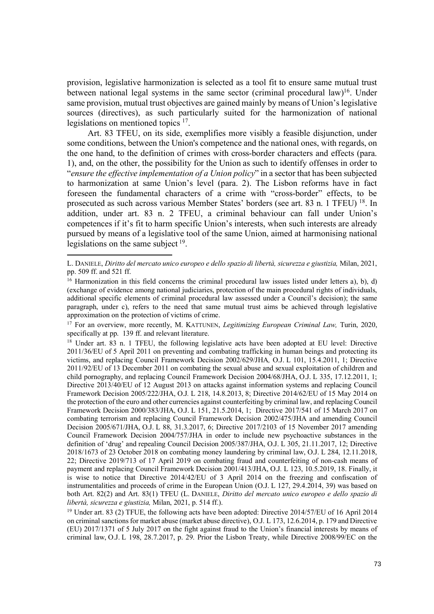provision, legislative harmonization is selected as a tool fit to ensure same mutual trust between national legal systems in the same sector (criminal procedural law)<sup>16</sup>. Under same provision, mutual trust objectives are gained mainly by means of Union's legislative sources (directives), as such particularly suited for the harmonization of national legislations on mentioned topics 17.

Art. 83 TFEU, on its side, exemplifies more visibly a feasible disjunction, under some conditions, between the Union's competence and the national ones, with regards, on the one hand, to the definition of crimes with cross-border characters and effects (para. 1), and, on the other, the possibility for the Union as such to identify offenses in order to "*ensure the effective implementation of a Union policy*" in a sector that has been subjected to harmonization at same Union's level (para. 2). The Lisbon reforms have in fact foreseen the fundamental characters of a crime with "cross-border" effects, to be prosecuted as such across various Member States' borders (see art. 83 n. 1 TFEU) 18. In addition, under art. 83 n. 2 TFEU, a criminal behaviour can fall under Union's competences if it's fit to harm specific Union's interests, when such interests are already pursued by means of a legislative tool of the same Union, aimed at harmonising national legislations on the same subject 19.

L. DANIELE, *Diritto del mercato unico europeo e dello spazio di libertà, sicurezza e giustizia,* Milan, 2021, pp. 509 ff. and 521 ff.

<sup>&</sup>lt;sup>16</sup> Harmonization in this field concerns the criminal procedural law issues listed under letters a), b), d) (exchange of evidence among national judiciaries, protection of the main procedural rights of individuals, additional specific elements of criminal procedural law assessed under a Council's decision); the same paragraph, under c), refers to the need that same mutual trust aims be achieved through legislative approximation on the protection of victims of crime.

<sup>17</sup> For an overview, more recently, M. KATTUNEN, *Legitimizing European Criminal Law,* Turin, 2020, specifically at pp. 139 ff. and relevant literature.

<sup>&</sup>lt;sup>18</sup> Under art. 83 n. 1 TFEU, the following legislative acts have been adopted at EU level: Directive 2011/36/EU of 5 April 2011 on preventing and combating trafficking in human beings and protecting its victims, and replacing Council Framework Decision 2002/629/JHA*,* O.J. L 101, 15.4.2011, 1; Directive 2011/92/EU of 13 December 2011 on combating the sexual abuse and sexual exploitation of children and child pornography, and replacing Council Framework Decision 2004/68/JHA, O.J. L 335, 17.12.2011, 1; Directive 2013/40/EU of 12 August 2013 on attacks against information systems and replacing Council Framework Decision 2005/222/JHA, O.J*.* L 218, 14.8.2013, 8; Directive 2014/62/EU of 15 May 2014 on the protection of the euro and other currencies against counterfeiting by criminal law, and replacing Council Framework Decision 2000/383/JHA, O.J. L 151, 21.5.2014, 1; Directive 2017/541 of 15 March 2017 on combating terrorism and replacing Council Framework Decision 2002/475/JHA and amending Council Decision 2005/671/JHA, O.J. L 88, 31.3.2017, 6; Directive 2017/2103 of 15 November 2017 amending Council Framework Decision 2004/757/JHA in order to include new psychoactive substances in the definition of 'drug' and repealing Council Decision 2005/387/JHA, O.J. L 305, 21.11.2017, 12; Directive 2018/1673 of 23 October 2018 on combating money laundering by criminal law, O.J. L 284, 12.11.2018, 22; Directive 2019/713 of 17 April 2019 on combating fraud and counterfeiting of non-cash means of payment and replacing Council Framework Decision 2001/413/JHA, O.J*.* L 123, 10.5.2019, 18. Finally, it is wise to notice that Directive 2014/42/EU of 3 April 2014 on the freezing and confiscation of instrumentalities and proceeds of crime in the European Union (O.J. L 127, 29.4.2014, 39) was based on both Art. 82(2) and Art. 83(1) TFEU (L. DANIELE, *Diritto del mercato unico europeo e dello spazio di libertà, sicurezza e giustizia,* Milan, 2021, p. 514 ff.).

<sup>19</sup> Under art. 83 (2) TFUE, the following acts have been adopted: Directive 2014/57/EU of 16 April 2014 on criminal sanctions for market abuse (market abuse directive), O.J. L 173, 12.6.2014, p. 179 and Directive (EU) 2017/1371 of 5 July 2017 on the fight against fraud to the Union's financial interests by means of criminal law, O.J. L 198, 28.7.2017, p. 29. Prior the Lisbon Treaty, while Directive 2008/99/EC on the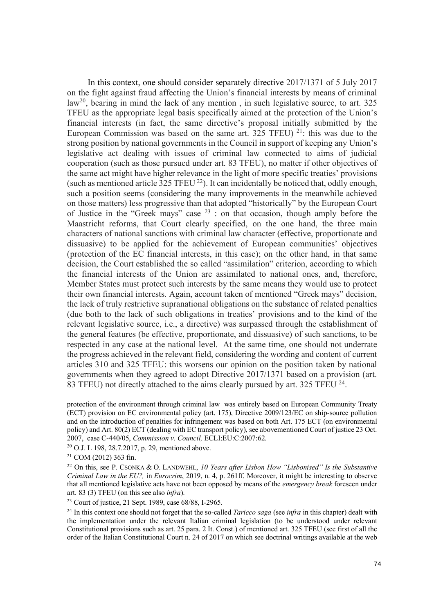In this context, one should consider separately directive 2017/1371 of 5 July 2017 on the fight against fraud affecting the Union's financial interests by means of criminal law20, bearing in mind the lack of any mention , in such legislative source, to art. 325 TFEU as the appropriate legal basis specifically aimed at the protection of the Union's financial interests (in fact, the same directive's proposal initially submitted by the European Commission was based on the same art.  $325$  TFEU) <sup>21</sup>: this was due to the strong position by national governments in the Council in support of keeping any Union's legislative act dealing with issues of criminal law connected to aims of judicial cooperation (such as those pursued under art. 83 TFEU), no matter if other objectives of the same act might have higher relevance in the light of more specific treaties' provisions (such as mentioned article 325 TFEU  $^{22}$ ). It can incidentally be noticed that, oddly enough, such a position seems (considering the many improvements in the meanwhile achieved on those matters) less progressive than that adopted "historically" by the European Court of Justice in the "Greek mays" case  $2^3$ : on that occasion, though amply before the Maastricht reforms, that Court clearly specified, on the one hand, the three main characters of national sanctions with criminal law character (effective, proportionate and dissuasive) to be applied for the achievement of European communities' objectives (protection of the EC financial interests, in this case); on the other hand, in that same decision, the Court established the so called "assimilation" criterion, according to which the financial interests of the Union are assimilated to national ones, and, therefore, Member States must protect such interests by the same means they would use to protect their own financial interests. Again, account taken of mentioned "Greek mays" decision, the lack of truly restrictive supranational obligations on the substance of related penalties (due both to the lack of such obligations in treaties' provisions and to the kind of the relevant legislative source, i.e., a directive) was surpassed through the establishment of the general features (be effective, proportionate, and dissuasive) of such sanctions, to be respected in any case at the national level. At the same time, one should not underrate the progress achieved in the relevant field, considering the wording and content of current articles 310 and 325 TFEU: this worsens our opinion on the position taken by national governments when they agreed to adopt Directive 2017/1371 based on a provision (art. 83 TFEU) not directly attached to the aims clearly pursued by art. 325 TFEU <sup>24</sup>.

protection of the environment through criminal law was entirely based on European Community Treaty (ECT) provision on EC environmental policy (art. 175), Directive 2009/123/EC on ship-source pollution and on the introduction of penalties for infringement was based on both Art. 175 ECT (on environmental policy) and Art. 80(2) ECT (dealing with EC transport policy), see abovementioned Court of justice 23 Oct. 2007, case C-440/05, *Commission v. Council,* ECLI:EU:C:2007:62.

<sup>20</sup> O.J. L 198, 28.7.2017, p. 29, mentioned above.

<sup>&</sup>lt;sup>21</sup> COM (2012) 363 fin.<br><sup>22</sup> On this, see P. CSONKA & O. LANDWEHL, *10 Years after Lisbon How "Lisbonised" Is the Substantive Criminal Law in the EU?,* in *Eurocrim*, 2019, n. 4, p. 261ff. Moreover, it might be interesting to observe that all mentioned legislative acts have not been opposed by means of the *emergency break* foreseen under art. 83 (3) TFEU (on this see also *infra*).

<sup>23</sup> Court of justice, 21 Sept. 1989, case 68/88, I-2965.

<sup>24</sup> In this context one should not forget that the so-called *Taricco saga* (see *infra* in this chapter) dealt with the implementation under the relevant Italian criminal legislation (to be understood under relevant Constitutional provisions such as art. 25 para. 2 It. Const.) of mentioned art. 325 TFEU (see first of all the order of the Italian Constitutional Court n. 24 of 2017 on which see doctrinal writings available at the web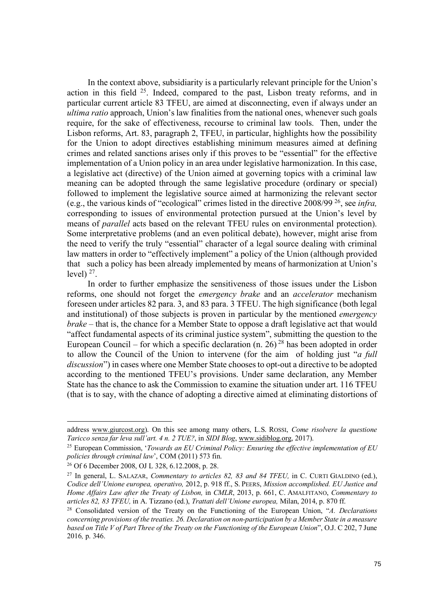In the context above, subsidiarity is a particularly relevant principle for the Union's action in this field 25. Indeed, compared to the past, Lisbon treaty reforms, and in particular current article 83 TFEU, are aimed at disconnecting, even if always under an *ultima ratio* approach, Union's law finalities from the national ones, whenever such goals require, for the sake of effectiveness, recourse to criminal law tools. Then, under the Lisbon reforms, Art. 83, paragraph 2, TFEU, in particular, highlights how the possibility for the Union to adopt directives establishing minimum measures aimed at defining crimes and related sanctions arises only if this proves to be "essential" for the effective implementation of a Union policy in an area under legislative harmonization. In this case, a legislative act (directive) of the Union aimed at governing topics with a criminal law meaning can be adopted through the same legislative procedure (ordinary or special) followed to implement the legislative source aimed at harmonizing the relevant sector (e.g., the various kinds of "ecological" crimes listed in the directive 2008/99 26, see *infra,*  corresponding to issues of environmental protection pursued at the Union's level by means of *parallel* acts based on the relevant TFEU rules on environmental protection). Some interpretative problems (and an even political debate), however, might arise from the need to verify the truly "essential" character of a legal source dealing with criminal law matters in order to "effectively implement" a policy of the Union (although provided that such a policy has been already implemented by means of harmonization at Union's level)  $27$ .

In order to further emphasize the sensitiveness of those issues under the Lisbon reforms, one should not forget the *emergency brake* and an *accelerator* mechanism foreseen under articles 82 para. 3, and 83 para. 3 TFEU. The high significance (both legal and institutional) of those subjects is proven in particular by the mentioned *emergency brake –* that is, the chance for a Member State to oppose a draft legislative act that would "affect fundamental aspects of its criminal justice system", submitting the question to the European Council – for which a specific declaration (n. 26)<sup>28</sup> has been adopted in order to allow the Council of the Union to intervene (for the aim of holding just "*a full discussion*") in cases where one Member State chooses to opt-out a directive to be adopted according to the mentioned TFEU's provisions. Under same declaration, any Member State has the chance to ask the Commission to examine the situation under art. 116 TFEU (that is to say, with the chance of adopting a directive aimed at eliminating distortions of

address www.giurcost.org). On this see among many others, L.S. ROSSI, *Come risolvere la questione Taricco senza far leva sull'art. 4 n. 2 TUE?*, in *SIDI Blog*, www.sidiblog.org, 2017).

<sup>25</sup> European Commission, '*Towards an EU Criminal Policy: Ensuring the effective implementation of EU policies through criminal law*', COM (2011) 573 fin.

<sup>26</sup> Of 6 December 2008, OJ L 328, 6.12.2008, p. 28.

<sup>27</sup> In general, L. SALAZAR, *Commentary to articles 82, 83 and 84 TFEU,* in C. CURTI GIALDINO (ed.), *Codice dell'Unione europea, operativo,* 2012, p. 918 ff., S. PEERS, *Mission accomplished. EU Justice and Home Affairs Law after the Treaty of Lisbon,* in *CMLR*, 2013, p. 661, C. AMALFITANO, *Commentary to articles 82, 83 TFEU,* in A. Tizzano (ed.), *Trattati dell'Unione europea,* Milan, 2014, p. 870 ff.

<sup>28</sup> Consolidated version of the Treaty on the Functioning of the European Union, "*A. Declarations concerning provisions of the treaties. 26. Declaration on non-participation by a Member State in a measure based on Title V of Part Three of the Treaty on the Functioning of the European Union*", O.J. C 202, 7 June 2016*,* p. 346.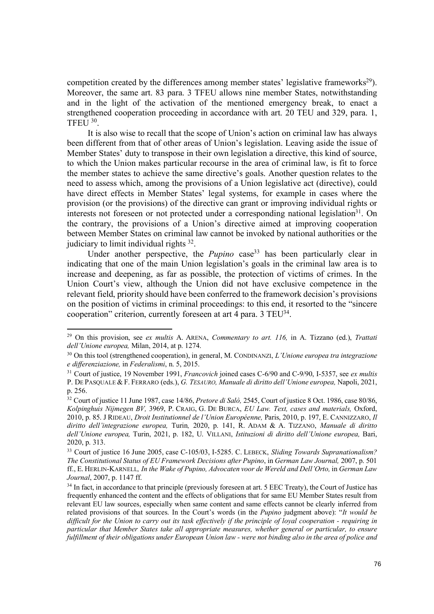competition created by the differences among member states' legislative frameworks<sup>29</sup>). Moreover, the same art. 83 para. 3 TFEU allows nine member States, notwithstanding and in the light of the activation of the mentioned emergency break, to enact a strengthened cooperation proceeding in accordance with art. 20 TEU and 329, para. 1, TFEU 30.

It is also wise to recall that the scope of Union's action on criminal law has always been different from that of other areas of Union's legislation. Leaving aside the issue of Member States' duty to transpose in their own legislation a directive, this kind of source, to which the Union makes particular recourse in the area of criminal law, is fit to force the member states to achieve the same directive's goals. Another question relates to the need to assess which, among the provisions of a Union legislative act (directive), could have direct effects in Member States' legal systems, for example in cases where the provision (or the provisions) of the directive can grant or improving individual rights or interests not foreseen or not protected under a corresponding national legislation<sup>31</sup>. On the contrary, the provisions of a Union's directive aimed at improving cooperation between Member States on criminal law cannot be invoked by national authorities or the judiciary to limit individual rights 32.

Under another perspective, the *Pupino* case<sup>33</sup> has been particularly clear in indicating that one of the main Union legislation's goals in the criminal law area is to increase and deepening, as far as possible, the protection of victims of crimes. In the Union Court's view, although the Union did not have exclusive competence in the relevant field, priority should have been conferred to the framework decision's provisions on the position of victims in criminal proceedings: to this end, it resorted to the "sincere cooperation" criterion, currently foreseen at art 4 para. 3 TEU<sup>34</sup>.

<sup>29</sup> On this provision, see *ex multis* A. ARENA, *Commentary to art. 116,* in A. Tizzano (ed.), *Trattati dell'Unione europea, Milan, 2014, at p. 1274.*<br><sup>30</sup> On this tool (strengthened cooperation), in general, M. CONDINANZI, *L'Unione europea tra integrazione* 

*e differenziazione,* in *Federalismi*, n. 5, 2015. 31 Court of justice, 19 November 1991, *Francovich* joined cases C-6/90 and C-9/90, I-5357, see *ex multis*

P. DE PASQUALE & F. FERRARO (eds.), *G. TESAURO, Manuale di diritto dell'Unione europea,* Napoli, 2021, p. 256.

<sup>32</sup> Court of justice 11 June 1987, case 14/86, *Pretore di Salò,* 2545, Court of justice 8 Oct. 1986, case 80/86, *Kolpinghuis Nijmegen BV,* 3969, P. CRAIG, G. DE BURCA, *EU Law. Text, cases and materials,* Oxford, 2010, p. 85. J RIDEAU, *Droit Institutionnel de l'Union Européenne,* Paris, 2010, p. 197, E. CANNIZZARO, *Il diritto dell'integrazione europea,* Turin*,* 2020, p. 141, R. ADAM & A. TIZZANO, *Manuale di diritto dell'Unione europea,* Turin, 2021, p. 182, U. VILLANI, *Istituzioni di diritto dell'Unione europea,* Bari, 2020, p. 313.

<sup>33</sup> Court of justice 16 June 2005, case C-105/03, I-5285. C. LEBECK, *Sliding Towards Supranationalism? The Constitutional Status of EU Framework Decisions after Pupino*, in *German Law Journal,* 2007, p. 501 ff., E. HERLIN-KARNELL*, In the Wake of Pupino, Advocaten voor de Wereld and Dell'Orto,* in *German Law Journal*, 2007, p. 1147 ff.

<sup>&</sup>lt;sup>34</sup> In fact, in accordance to that principle (previously foreseen at art. 5 EEC Treaty), the Court of Justice has frequently enhanced the content and the effects of obligations that for same EU Member States result from relevant EU law sources, especially when same content and same effects cannot be clearly inferred from related provisions of that sources. In the Court's words (in the *Pupino* judgment above): "*It would be difficult for the Union to carry out its task effectively if the principle of loyal cooperation - requiring in particular that Member States take all appropriate measures, whether general or particular, to ensure fulfillment of their obligations under European Union law - were not binding also in the area of police and*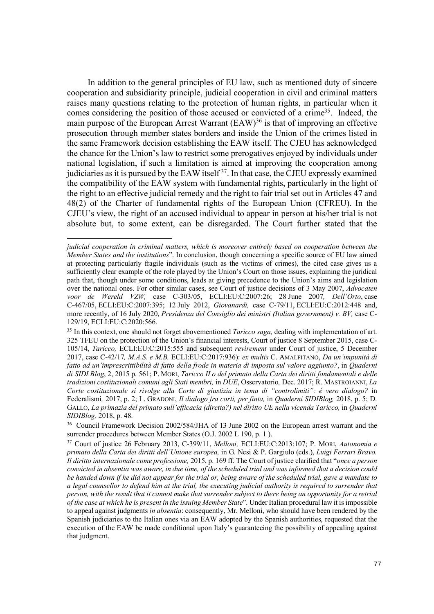In addition to the general principles of EU law, such as mentioned duty of sincere cooperation and subsidiarity principle, judicial cooperation in civil and criminal matters raises many questions relating to the protection of human rights, in particular when it comes considering the position of those accused or convicted of a crime<sup>35</sup>. Indeed, the main purpose of the European Arrest Warrant  $(EAW)^{36}$  is that of improving an effective prosecution through member states borders and inside the Union of the crimes listed in the same Framework decision establishing the EAW itself. The CJEU has acknowledged the chance for the Union's law to restrict some prerogatives enjoyed by individuals under national legislation, if such a limitation is aimed at improving the cooperation among judiciaries as it is pursued by the EAW itself<sup>37</sup>. In that case, the CJEU expressly examined the compatibility of the EAW system with fundamental rights, particularly in the light of the right to an effective judicial remedy and the right to fair trial set out in Articles 47 and 48(2) of the Charter of fundamental rights of the European Union (CFREU). In the CJEU's view, the right of an accused individual to appear in person at his/her trial is not absolute but, to some extent, can be disregarded. The Court further stated that the

*judicial cooperation in criminal matters, which is moreover entirely based on cooperation between the Member States and the institutions*". In conclusion, though concerning a specific source of EU law aimed at protecting particularly fragile individuals (such as the victims of crimes), the cited case gives us a sufficiently clear example of the role played by the Union's Court on those issues, explaining the juridical path that, though under some conditions, leads at giving precedence to the Union's aims and legislation over the national ones. For other similar cases, see Court of justice decisions of 3 May 2007, *Advocaten voor de Wereld VZW,* case C-303/05, ECLI:EU:C:2007:26; 28 June 2007*, Dell'Orto*, case C-467/05, ECLI:EU:C:2007:395; 12 July 2012, *Giovanardi,* case C-79/11, ECLI:EU:C:2012:448 and, more recently, of 16 July 2020, *Presidenza del Consiglio dei ministri (Italian government) v. BV,* case C-129/19, ECLI:EU:C:2020:566.

<sup>35</sup> In this context, one should not forget abovementioned *Taricco saga,* dealing with implementation of art. 325 TFEU on the protection of the Union's financial interests, Court of justice 8 September 2015, case C-105/14, *Taricco,* ECLI:EU:C:2015:555 and subsequent *revirement* under Court of justice, 5 December 2017, case C-42/17*, M.A.S. e M.B,* ECLI:EU:C:2017:936): *ex multis* C. AMALFITANO, *Da un'impunità di fatto ad un'imprescrittibilità di fatto della frode in materia di imposta sul valore aggiunto?*, in *Quaderni di SIDI Blog*, 2, 2015 p. 561; P. MORI, *Taricco II o del primato della Carta dei diritti fondamentali e delle tradizioni costituzionali comuni agli Stati membri,* in *DUE*, Osservatorio*,* Dec. 2017; R. MASTROIANNI, *La Corte costituzionale si rivolge alla Corte di giustizia in tema di "controlimiti": è vero dialogo?* in Federalismi*,* 2017, p. 2; L. GRADONI, *Il dialogo fra corti, per finta,* in *Quaderni SIDIBlog,* 2018, p. 5; D. GALLO, *La primazia del primato sull'efficacia (diretta?) nel diritto UE nella vicenda Taricco,* in *Quaderni SIDIBlog,* 2018, p. 48.

<sup>&</sup>lt;sup>36</sup> Council Framework Decision 2002/584/JHA of 13 June 2002 on the European arrest warrant and the surrender procedures between Member States (O.J. 2002 L 190, p. 1 ).

<sup>37</sup> Court of justice 26 February 2013, C-399/11, *Melloni,* ECLI:EU:C:2013:107; P. MORI, *Autonomia e primato della Carta dei diritti dell'Unione europea,* in G. Nesi & P. Gargiulo (eds.), *Luigi Ferrari Bravo. Il diritto internazionale come professione,* 2015, p. 169 ff. The Court of justice clarified that "*once a person convicted in absentia was aware, in due time, of the scheduled trial and was informed that a decision could be handed down if he did not appear for the trial or, being aware of the scheduled trial, gave a mandate to a legal counsellor to defend him at the trial, the executing judicial authority is required to surrender that person, with the result that it cannot make that surrender subject to there being an opportunity for a retrial of the case at which he is present in the issuing Member State*". Under Italian procedural law it is impossible to appeal against judgments *in absentia*: consequently, Mr. Melloni, who should have been rendered by the Spanish judiciaries to the Italian ones via an EAW adopted by the Spanish authorities, requested that the execution of the EAW be made conditional upon Italy's guaranteeing the possibility of appealing against that judgment.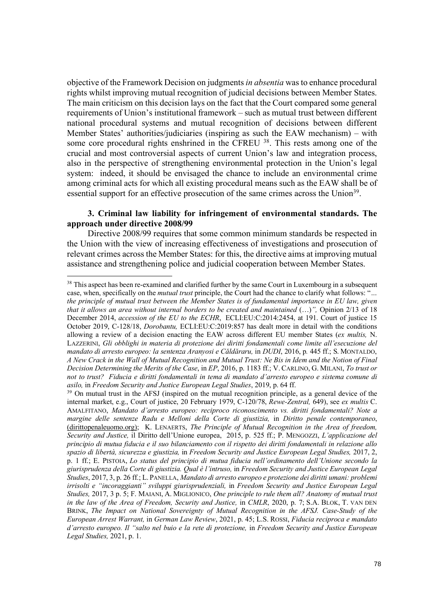objective of the Framework Decision on judgments *in absentia* was to enhance procedural rights whilst improving mutual recognition of judicial decisions between Member States. The main criticism on this decision lays on the fact that the Court compared some general requirements of Union's institutional framework – such as mutual trust between different national procedural systems and mutual recognition of decisions between different Member States' authorities/judiciaries (inspiring as such the EAW mechanism) – with some core procedural rights enshrined in the CFREU <sup>38</sup>. This rests among one of the crucial and most controversial aspects of current Union's law and integration process, also in the perspective of strengthening environmental protection in the Union's legal system: indeed, it should be envisaged the chance to include an environmental crime among criminal acts for which all existing procedural means such as the EAW shall be of essential support for an effective prosecution of the same crimes across the Union<sup>39</sup>.

# **3. Criminal law liability for infringement of environmental standards. The approach under directive 2008/99**

Directive 2008/99 requires that some common minimum standards be respected in the Union with the view of increasing effectiveness of investigations and prosecution of relevant crimes across the Member States: for this, the directive aims at improving mutual assistance and strengthening police and judicial cooperation between Member States.

<sup>&</sup>lt;sup>38</sup> This aspect has been re-examined and clarified further by the same Court in Luxembourg in a subsequent case, when, specifically on the *mutual trust* principle, the Court had the chance to clarify what follows: "*… the principle of mutual trust between the Member States is of fundamental importance in EU law, given that it allows an area without internal borders to be created and maintained* (…)*",* Opinion 2/13 of 18 December 2014, *accession of the EU to the ECHR*, ECLI:EU:C:2014:2454, at 191. Court of justice 15 October 2019, C-128/18, *Dorobantu,* ECLI:EU:C:2019:857 has dealt more in detail with the conditions allowing a review of a decision enacting the EAW across different EU member States (*ex multis,* N. LAZZERINI, *Gli obblighi in materia di protezione dei diritti fondamentali come limite all'esecuzione del mandato di arresto europeo: la sentenza Aranyosi e Căldăraru,* in *DUDI*, 2016, p*.* 445 ff.; S. MONTALDO, *A New Crack in the Wall of Mutual Recognition and Mutual Trust: Ne Bis in Idem and the Notion of Final Decision Determining the Merits of the Case*, in *EP*, 2016, p. 1183 ff.; V. CARLINO, G. MILANI, *To trust or not to trust? Fiducia e diritti fondamentali in tema di mandato d'arresto europeo e sistema comune di asilo,* in *Freedom Security and Justice European Legal Studies*, 2019, p. 64 ff.<br><sup>39</sup> On mutual trust in the AFSJ (inspired on the mutual recognition principle, as a general device of the

internal market, e.g., Court of justice, 20 February 1979, C-120/78, *Rewe-Zentral,* 649), see *ex multis* C. AMALFITANO, *Mandato d'arresto europeo: reciproco riconoscimento vs. diritti fondamentali? Note a margine delle sentenze Radu e Melloni della Corte di giustizia,* in *Diritto penale contemporaneo*, (dirittopenaleuomo.org); K. LENAERTS, *The Principle of Mutual Recognition in the Area of freedom, Security and Justice,* il Diritto dell'Unione europea, 2015, p. 525 ff.; P. MENGOZZI, *L'applicazione del principio di mutua fiducia e il suo bilanciamento con il rispetto dei diritti fondamentali in relazione allo spazio di libertà, sicurezza e giustizia,* in *Freedom Security and Justice European Legal Studies,* 2017, 2, p. 1 ff.; E. PISTOIA, *Lo status del principio di mutua fiducia nell'ordinamento dell'Unione secondo la giurisprudenza della Corte di giustizia. Qual è l'intruso,* in *Freedom Security and Justice European Legal Studies*, 2017, 3, p. 26 ff.; L. PANELLA, *Mandato di arresto europeo e protezione dei diritti umani: problemi irrisolti e "incoraggianti" sviluppi giurisprudenziali,* in *Freedom Security and Justice European Legal Studies,* 2017, 3 p. 5; F. MAIANI, A. MIGLIONICO, *One principle to rule them all? Anatomy of mutual trust in the law of the Area of Freedom, Security and Justice,* in *CMLR*, 2020, p. 7; S.A. BLOK, T. VAN DEN BRINK, *The Impact on National Sovereignty of Mutual Recognition in the AFSJ. Case-Study of the European Arrest Warrant,* in *German Law Review*, 2021, p. 45; L.S. ROSSI, *Fiducia reciproca e mandato d'arresto europeo. Il "salto nel buio e la rete di protezione,* in *Freedom Security and Justice European Legal Studies,* 2021, p. 1.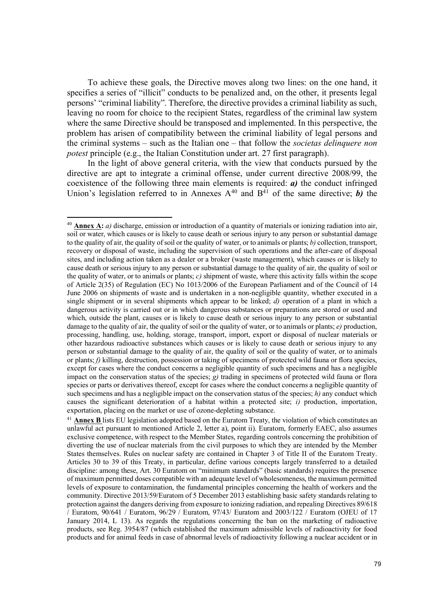To achieve these goals, the Directive moves along two lines: on the one hand, it specifies a series of "illicit" conducts to be penalized and, on the other, it presents legal persons' "criminal liability". Therefore, the directive provides a criminal liability as such, leaving no room for choice to the recipient States, regardless of the criminal law system where the same Directive should be transposed and implemented. In this perspective, the problem has arisen of compatibility between the criminal liability of legal persons and the criminal systems – such as the Italian one – that follow the *societas delinquere non potest* principle (e.g., the Italian Constitution under art. 27 first paragraph).

In the light of above general criteria, with the view that conducts pursued by the directive are apt to integrate a criminal offense, under current directive 2008/99, the coexistence of the following three main elements is required: *a)* the conduct infringed Union's legislation referred to in Annexes  $A^{40}$  and  $B^{41}$  of the same directive; *b*) the

<sup>40</sup> **Annex A:** *a)* discharge, emission or introduction of a quantity of materials or ionizing radiation into air, soil or water, which causes or is likely to cause death or serious injury to any person or substantial damage to the quality of air, the quality of soil or the quality of water, or to animals or plants; *b)* collection, transport, recovery or disposal of waste, including the supervision of such operations and the after-care of disposal sites, and including action taken as a dealer or a broker (waste management), which causes or is likely to cause death or serious injury to any person or substantial damage to the quality of air, the quality of soil or the quality of water, or to animals or plants; *c)* shipment of waste, where this activity falls within the scope of Article 2(35) of Regulation (EC) No 1013/2006 of the European Parliament and of the Council of 14 June 2006 on shipments of waste and is undertaken in a non-negligible quantity, whether executed in a single shipment or in several shipments which appear to be linked; *d*) operation of a plant in which a dangerous activity is carried out or in which dangerous substances or preparations are stored or used and which, outside the plant, causes or is likely to cause death or serious injury to any person or substantial damage to the quality of air, the quality of soil or the quality of water, or to animals or plants; *e)* production, processing, handling, use, holding, storage, transport, import, export or disposal of nuclear materials or other hazardous radioactive substances which causes or is likely to cause death or serious injury to any person or substantial damage to the quality of air, the quality of soil or the quality of water, or to animals or plants; *f)* killing, destruction, possession or taking of specimens of protected wild fauna or flora species, except for cases where the conduct concerns a negligible quantity of such specimens and has a negligible impact on the conservation status of the species; *g)* trading in specimens of protected wild fauna or flora species or parts or derivatives thereof, except for cases where the conduct concerns a negligible quantity of such specimens and has a negligible impact on the conservation status of the species; *h)* any conduct which causes the significant deterioration of a habitat within a protected site; *i)* production, importation, exportation, placing on the market or use of ozone-depleting substance.

<sup>41</sup> **Annex B** lists EU legislation adopted based on the Euratom Treaty, the violation of which constitutes an unlawful act pursuant to mentioned Article 2, letter a), point ii). Euratom, formerly EAEC, also assumes exclusive competence, with respect to the Member States, regarding controls concerning the prohibition of diverting the use of nuclear materials from the civil purposes to which they are intended by the Member States themselves. Rules on nuclear safety are contained in Chapter 3 of Title II of the Euratom Treaty. Articles 30 to 39 of this Treaty, in particular, define various concepts largely transferred to a detailed discipline: among these, Art. 30 Euratom on "minimum standards" (basic standards) requires the presence of maximum permitted doses compatible with an adequate level of wholesomeness, the maximum permitted levels of exposure to contamination, the fundamental principles concerning the health of workers and the community. Directive 2013/59/Euratom of 5 December 2013 establishing basic safety standards relating to protection against the dangers deriving from exposure to ionizing radiation, and repealing Directives 89/618 / Euratom, 90/641 / Euratom, 96/29 / Euratom, 97/43/ Euratom and 2003/122 / Euratom (OJEU of 17 January 2014, L 13). As regards the regulations concerning the ban on the marketing of radioactive products, see Reg. 3954/87 (which established the maximum admissible levels of radioactivity for food products and for animal feeds in case of abnormal levels of radioactivity following a nuclear accident or in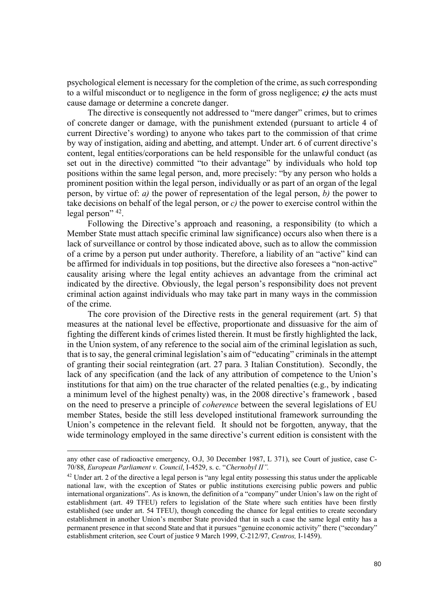psychological element is necessary for the completion of the crime, as such corresponding to a wilful misconduct or to negligence in the form of gross negligence; *c)* the acts must cause damage or determine a concrete danger.

The directive is consequently not addressed to "mere danger" crimes, but to crimes of concrete danger or damage, with the punishment extended (pursuant to article 4 of current Directive's wording) to anyone who takes part to the commission of that crime by way of instigation, aiding and abetting, and attempt. Under art. 6 of current directive's content, legal entities/corporations can be held responsible for the unlawful conduct (as set out in the directive) committed "to their advantage" by individuals who hold top positions within the same legal person, and, more precisely: "by any person who holds a prominent position within the legal person, individually or as part of an organ of the legal person, by virtue of: *a)* the power of representation of the legal person, *b)* the power to take decisions on behalf of the legal person, or *c)* the power to exercise control within the legal person" <sup>42</sup>.

Following the Directive's approach and reasoning, a responsibility (to which a Member State must attach specific criminal law significance) occurs also when there is a lack of surveillance or control by those indicated above, such as to allow the commission of a crime by a person put under authority. Therefore, a liability of an "active" kind can be affirmed for individuals in top positions, but the directive also foresees a "non-active" causality arising where the legal entity achieves an advantage from the criminal act indicated by the directive. Obviously, the legal person's responsibility does not prevent criminal action against individuals who may take part in many ways in the commission of the crime.

The core provision of the Directive rests in the general requirement (art. 5) that measures at the national level be effective, proportionate and dissuasive for the aim of fighting the different kinds of crimes listed therein. It must be firstly highlighted the lack, in the Union system, of any reference to the social aim of the criminal legislation as such, that is to say, the general criminal legislation's aim of "educating" criminals in the attempt of granting their social reintegration (art. 27 para. 3 Italian Constitution). Secondly, the lack of any specification (and the lack of any attribution of competence to the Union's institutions for that aim) on the true character of the related penalties (e.g., by indicating a minimum level of the highest penalty) was, in the 2008 directive's framework , based on the need to preserve a principle of *coherence* between the several legislations of EU member States, beside the still less developed institutional framework surrounding the Union's competence in the relevant field. It should not be forgotten, anyway, that the wide terminology employed in the same directive's current edition is consistent with the

any other case of radioactive emergency, O.J, 30 December 1987, L 371), see Court of justice, case C-70/88, *European Parliament v. Council*, I-4529, s. c. "*Chernobyl II".*

<sup>&</sup>lt;sup>42</sup> Under art. 2 of the directive a legal person is "any legal entity possessing this status under the applicable national law, with the exception of States or public institutions exercising public powers and public international organizations". As is known, the definition of a "company" under Union's law on the right of establishment (art. 49 TFEU) refers to legislation of the State where such entities have been firstly established (see under art. 54 TFEU), though conceding the chance for legal entities to create secondary establishment in another Union's member State provided that in such a case the same legal entity has a permanent presence in that second State and that it pursues "genuine economic activity" there ("secondary" establishment criterion, see Court of justice 9 March 1999, C-212/97, *Centros,* I-1459).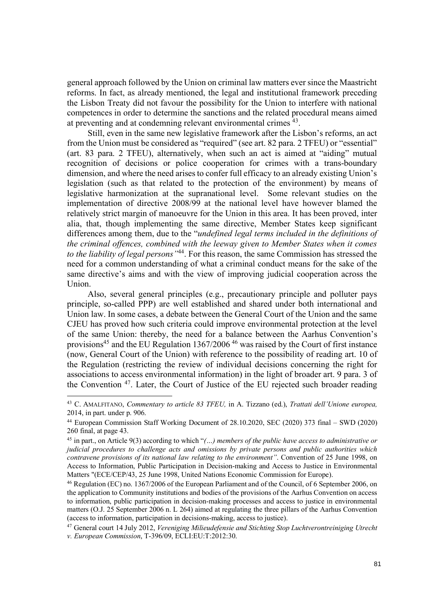general approach followed by the Union on criminal law matters ever since the Maastricht reforms. In fact, as already mentioned, the legal and institutional framework preceding the Lisbon Treaty did not favour the possibility for the Union to interfere with national competences in order to determine the sanctions and the related procedural means aimed at preventing and at condemning relevant environmental crimes 43.

Still, even in the same new legislative framework after the Lisbon's reforms, an act from the Union must be considered as "required" (see art. 82 para. 2 TFEU) or "essential" (art. 83 para. 2 TFEU), alternatively, when such an act is aimed at "aiding" mutual recognition of decisions or police cooperation for crimes with a trans-boundary dimension, and where the need arises to confer full efficacy to an already existing Union's legislation (such as that related to the protection of the environment) by means of legislative harmonization at the supranational level. Some relevant studies on the implementation of directive 2008/99 at the national level have however blamed the relatively strict margin of manoeuvre for the Union in this area. It has been proved, inter alia, that, though implementing the same directive, Member States keep significant differences among them, due to the "*undefined legal terms included in the definitions of the criminal offences, combined with the leeway given to Member States when it comes to the liability of legal persons"*44. For this reason, the same Commission has stressed the need for a common understanding of what a criminal conduct means for the sake of the same directive's aims and with the view of improving judicial cooperation across the Union.

Also, several general principles (e.g., precautionary principle and polluter pays principle, so-called PPP) are well established and shared under both international and Union law. In some cases, a debate between the General Court of the Union and the same CJEU has proved how such criteria could improve environmental protection at the level of the same Union: thereby, the need for a balance between the Aarhus Convention's provisions<sup>45</sup> and the EU Regulation 1367/2006<sup>46</sup> was raised by the Court of first instance (now, General Court of the Union) with reference to the possibility of reading art. 10 of the Regulation (restricting the review of individual decisions concerning the right for associations to access environmental information) in the light of broader art. 9 para. 3 of the Convention 47. Later, the Court of Justice of the EU rejected such broader reading

<sup>43</sup> C. AMALFITANO, *Commentary to article 83 TFEU,* in A. Tizzano (ed.), *Trattati dell'Unione europea,*  2014, in part. under p. 906.

<sup>44</sup> European Commission Staff Working Document of 28.10.2020, SEC (2020) 373 final – SWD (2020) 260 final, at page 43.

<sup>45</sup> in part., on Article 9(3) according to which "*(…) members of the public have access to administrative or judicial procedures to challenge acts and omissions by private persons and public authorities which contravene provisions of its national law relating to the environment"*. Convention of 25 June 1998, on Access to Information, Public Participation in Decision-making and Access to Justice in Environmental Matters "(ECE/CEP/43, 25 June 1998, United Nations Economic Commission for Europe).

<sup>46</sup> Regulation (EC) no. 1367/2006 of the European Parliament and of the Council, of 6 September 2006, on the application to Community institutions and bodies of the provisions of the Aarhus Convention on access to information, public participation in decision-making processes and access to justice in environmental matters (O.J. 25 September 2006 n. L 264) aimed at regulating the three pillars of the Aarhus Convention (access to information, participation in decisions-making, access to justice).

<sup>47</sup> General court 14 July 2012, *Vereniging Milieudefensie and Stichting Stop Luchtverontreiniging Utrecht v. European Commission*, T-396/09, ECLI:EU:T:2012:30.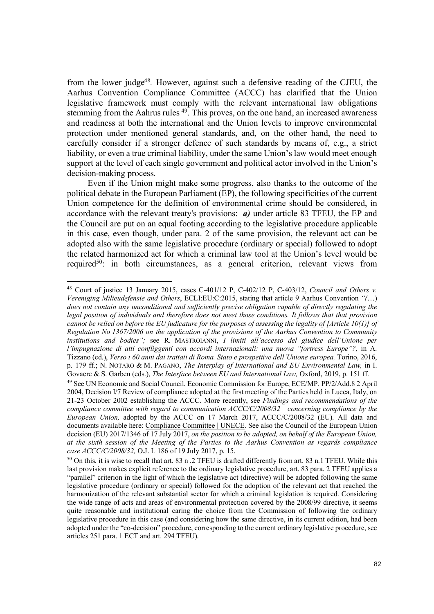from the lower judge48*.* However, against such a defensive reading of the CJEU, the Aarhus Convention Compliance Committee (ACCC) has clarified that the Union legislative framework must comply with the relevant international law obligations stemming from the Aahrus rules <sup>49</sup>. This proves, on the one hand, an increased awareness and readiness at both the international and the Union levels to improve environmental protection under mentioned general standards, and, on the other hand, the need to carefully consider if a stronger defence of such standards by means of, e.g., a strict liability, or even a true criminal liability, under the same Union's law would meet enough support at the level of each single government and political actor involved in the Union's decision-making process.

Even if the Union might make some progress, also thanks to the outcome of the political debate in the European Parliament (EP), the following specificities of the current Union competence for the definition of environmental crime should be considered, in accordance with the relevant treaty's provisions: *a)* under article 83 TFEU, the EP and the Council are put on an equal footing according to the legislative procedure applicable in this case, even though, under para. 2 of the same provision, the relevant act can be adopted also with the same legislative procedure (ordinary or special) followed to adopt the related harmonized act for which a criminal law tool at the Union's level would be required<sup>50</sup>: in both circumstances, as a general criterion, relevant views from

<sup>48</sup> Court of justice 13 January 2015, cases C-401/12 P, C-402/12 P, C-403/12, *Council and Others v. Vereniging Milieudefensie and Others*, ECLI:EU:C:2015, stating that article 9 Aarhus Convention *"(*…) *does not contain any unconditional and sufficiently precise obligation capable of directly regulating the legal position of individuals and therefore does not meet those conditions. It follows that that provision cannot be relied on before the EU judicature for the purposes of assessing the legality of [Article 10(1)] of Regulation No 1367/2006 on the application of the provisions of the Aarhus Convention to Community institutions and bodies";* see R. MASTROIANNI, *I limiti all'accesso del giudice dell'Unione per l'impugnazione di atti confliggenti con accordi internazionali: una nuova "fortress Europe"?,* in A. Tizzano (ed.), *Verso i 60 anni dai trattati di Roma. Stato e prospettive dell'Unione europea,* Torino, 2016, p. 179 ff.; N. NOTARO & M. PAGANO, *The Interplay of International and EU Environmental Law,* in I. Govaere & S. Garben (eds.), *The Interface between EU and International Law,* Oxford, 2019, p. 151 ff.

<sup>49</sup> See UN Economic and Social Council, Economic Commission for Europe, ECE/MP. PP/2/Add.8 2 April 2004, Decision I/7 Review of compliance adopted at the first meeting of the Parties held in Lucca, Italy, on 21-23 October 2002 establishing the ACCC. More recently, see *Findings and recommendations of the compliance committee with regard to communication ACCC/C/2008/32 concerning compliance by the European Union,* adopted by the ACCC on 17 March 2017, ACCC/C/2008/32 (EU). All data and documents available here: Compliance Committee | UNECE. See also the Council of the European Union decision (EU) 2017/1346 of 17 July 2017, *on the position to be adopted, on behalf of the European Union, at the sixth session of the Meeting of the Parties to the Aarhus Convention as regards compliance case ACCC/C/2008/32,* O.J. L 186 of 19 July 2017, p. 15.

 $50$  On this, it is wise to recall that art. 83 n .2 TFEU is drafted differently from art. 83 n.1 TFEU. While this last provision makes explicit reference to the ordinary legislative procedure, art. 83 para. 2 TFEU applies a "parallel" criterion in the light of which the legislative act (directive) will be adopted following the same legislative procedure (ordinary or special) followed for the adoption of the relevant act that reached the harmonization of the relevant substantial sector for which a criminal legislation is required. Considering the wide range of acts and areas of environmental protection covered by the 2008/99 directive, it seems quite reasonable and institutional caring the choice from the Commission of following the ordinary legislative procedure in this case (and considering how the same directive, in its current edition, had been adopted under the "co-decision" procedure, corresponding to the current ordinary legislative procedure, see articles 251 para. 1 ECT and art. 294 TFEU).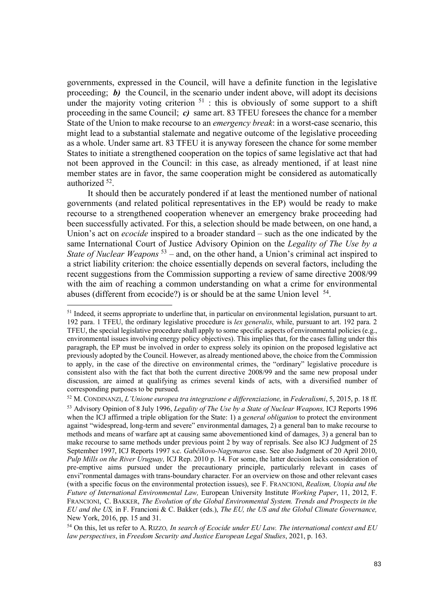governments, expressed in the Council, will have a definite function in the legislative proceeding; **b**) the Council, in the scenario under indent above, will adopt its decisions under the majority voting criterion  $51$ : this is obviously of some support to a shift proceeding in the same Council; *c)* same art. 83 TFEU foresees the chance for a member State of the Union to make recourse to an *emergency break*: in a worst-case scenario, this might lead to a substantial stalemate and negative outcome of the legislative proceeding as a whole. Under same art. 83 TFEU it is anyway foreseen the chance for some member States to initiate a strengthened cooperation on the topics of same legislative act that had not been approved in the Council: in this case, as already mentioned, if at least nine member states are in favor, the same cooperation might be considered as automatically authorized 52.

It should then be accurately pondered if at least the mentioned number of national governments (and related political representatives in the EP) would be ready to make recourse to a strengthened cooperation whenever an emergency brake proceeding had been successfully activated. For this, a selection should be made between, on one hand, a Union's act on *ecocide* inspired to a broader standard – such as the one indicated by the same International Court of Justice Advisory Opinion on the *Legality of The Use by a State of Nuclear Weapons* <sup>53</sup> – and, on the other hand, a Union's criminal act inspired to a strict liability criterion: the choice essentially depends on several factors, including the recent suggestions from the Commission supporting a review of same directive 2008/99 with the aim of reaching a common understanding on what a crime for environmental abuses (different from ecocide?) is or should be at the same Union level 54.

 $\overline{a}$ 

<sup>&</sup>lt;sup>51</sup> Indeed, it seems appropriate to underline that, in particular on environmental legislation, pursuant to art. 192 para. 1 TFEU, the ordinary legislative procedure is *lex generalis*, while, pursuant to art. 192 para. 2 TFEU, the special legislative procedure shall apply to some specific aspects of environmental policies (e.g., environmental issues involving energy policy objectives). This implies that, for the cases falling under this paragraph, the EP must be involved in order to express solely its opinion on the proposed legislative act previously adopted by the Council. However, as already mentioned above, the choice from the Commission to apply, in the case of the directive on environmental crimes, the "ordinary" legislative procedure is consistent also with the fact that both the current directive 2008/99 and the same new proposal under discussion, are aimed at qualifying as crimes several kinds of acts, with a diversified number of corresponding purposes to be pursued.

<sup>52</sup> M. CONDINANZI, *L'Unione europea tra integrazione e differenziazione,* in *Federalismi*, 5, 2015, p. 18 ff. <sup>53</sup> Advisory Opinion of 8 July 1996, *Legality of The Use by a State of Nuclear Weapons,* ICJ Reports 1996 when the ICJ affirmed a triple obligation for the State: 1) a *general obligation* to protect the environment against "widespread, long-term and severe" environmental damages, 2) a general ban to make recourse to methods and means of warfare apt at causing same abovementioned kind of damages, 3) a general ban to make recourse to same methods under previous point 2 by way of reprisals. See also ICJ Judgment of 25 September 1997, ICJ Reports 1997 s.c. *Gabčíkovo-Nagymaros* case. See also Judgment of 20 April 2010, *Pulp Mills on the River Uruguay,* ICJ Rep. 2010 p. 14. For some, the latter decision lacks consideration of pre-emptive aims pursued under the precautionary principle, particularly relevant in cases of envi"ronmental damages with trans-boundary character. For an overview on those and other relevant cases (with a specific focus on the environmental protection issues), see F. FRANCIONI, *Realism, Utopia and the Future of International Environmental Law,* European University Institute *Working Paper*, 11, 2012, F. FRANCIONI, C. BAKKER, *The Evolution of the Global Environmental System. Trends and Prospects in the EU and the US,* in F. Francioni & C. Bakker (eds.), *The EU, the US and the Global Climate Governance,*  New York, 2016, pp. 15 and 31.

<sup>54</sup> On this, let us refer to A. RIZZO*, In search of Ecocide under EU Law. The international context and EU law perspectives*, in *Freedom Security and Justice European Legal Studies*, 2021, p. 163.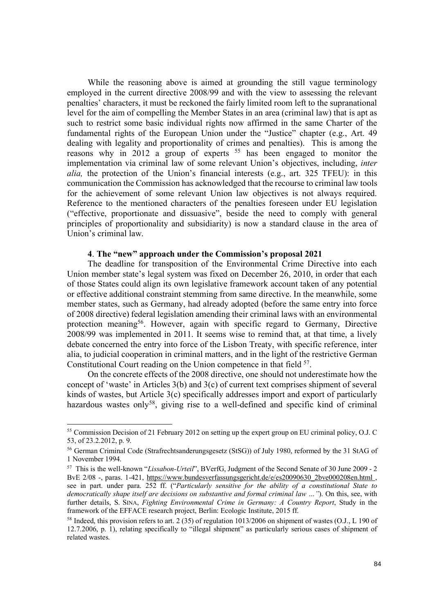While the reasoning above is aimed at grounding the still vague terminology employed in the current directive 2008/99 and with the view to assessing the relevant penalties' characters, it must be reckoned the fairly limited room left to the supranational level for the aim of compelling the Member States in an area (criminal law) that is apt as such to restrict some basic individual rights now affirmed in the same Charter of the fundamental rights of the European Union under the "Justice" chapter (e.g., Art. 49 dealing with legality and proportionality of crimes and penalties). This is among the reasons why in 2012 a group of experts <sup>55</sup> has been engaged to monitor the implementation via criminal law of some relevant Union's objectives, including, *inter alia,* the protection of the Union's financial interests (e.g., art. 325 TFEU): in this communication the Commission has acknowledged that the recourse to criminal law tools for the achievement of some relevant Union law objectives is not always required. Reference to the mentioned characters of the penalties foreseen under EU legislation ("effective, proportionate and dissuasive", beside the need to comply with general principles of proportionality and subsidiarity) is now a standard clause in the area of Union's criminal law.

# **4**. **The "new" approach under the Commission's proposal 2021**

The deadline for transposition of the Environmental Crime Directive into each Union member state's legal system was fixed on December 26, 2010, in order that each of those States could align its own legislative framework account taken of any potential or effective additional constraint stemming from same directive. In the meanwhile, some member states, such as Germany, had already adopted (before the same entry into force of 2008 directive) federal legislation amending their criminal laws with an environmental protection meaning56. However, again with specific regard to Germany, Directive 2008/99 was implemented in 2011. It seems wise to remind that, at that time, a lively debate concerned the entry into force of the Lisbon Treaty, with specific reference, inter alia, to judicial cooperation in criminal matters, and in the light of the restrictive German Constitutional Court reading on the Union competence in that field <sup>57</sup>.

On the concrete effects of the 2008 directive, one should not underestimate how the concept of 'waste' in Articles 3(b) and 3(c) of current text comprises shipment of several kinds of wastes, but Article 3(c) specifically addresses import and export of particularly hazardous wastes only<sup>58</sup>, giving rise to a well-defined and specific kind of criminal

<sup>55</sup> Commission Decision of 21 February 2012 on setting up the expert group on EU criminal policy, O.J. C 53, of 23.2.2012, p. 9.

<sup>56</sup> German Criminal Code (Strafrechtsanderungsgesetz (StSG)) of July 1980, reformed by the 31 StAG of 1 November 1994.

<sup>57</sup> This is the well-known "*Lissabon-Urteil*", BVerfG, Judgment of the Second Senate of 30 June 2009 - 2 BvE 2/08 -, paras. 1-421, https://www.bundesverfassungsgericht.de/e/es20090630\_2bve000208en.html , see in part. under para. 252 ff. ("*Particularly sensitive for the ability of a constitutional State to democratically shape itself are decisions on substantive and formal criminal law …"*). On this, see, with further details, S. SINA, *Fighting Environmental Crime in Germany: A Country Report*, Study in the framework of the EFFACE research project, Berlin: Ecologic Institute, 2015 ff.

<sup>58</sup> Indeed, this provision refers to art. 2 (35) of regulation 1013/2006 on shipment of wastes (O.J., L 190 of 12.7.2006, p. 1), relating specifically to "illegal shipment" as particularly serious cases of shipment of related wastes.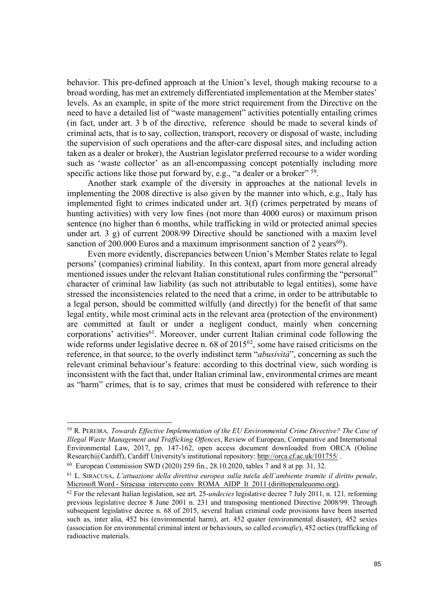behavior. This pre-defined approach at the Union's level, though making recourse to a broad wording, has met an extremely differentiated implementation at the Member states' levels. As an example, in spite of the more strict requirement from the Directive on the need to have a detailed list of "waste management" activities potentially entailing crimes (in fact, under art. 3 b of the directive, reference should be made to several kinds of criminal acts, that is to say, collection, transport, recovery or disposal of waste, including the supervision of such operations and the after-care disposal sites, and including action taken as a dealer or broker), the Austrian legislator preferred recourse to a wider wording such as 'waste collector' as an all-encompassing concept potentially including more specific actions like those put forward by, e.g., "a dealer or a broker"  $^{59}$ .

Another stark example of the diversity in approaches at the national levels in implementing the 2008 directive is also given by the manner into which, e.g., Italy has implemented fight to crimes indicated under art. 3(f) (crimes perpetrated by means of hunting activities) with very low fines (not more than 4000 euros) or maximum prison sentence (no higher than 6 months, while trafficking in wild or protected animal species under art. 3 g) of current 2008/99 Directive should be sanctioned with a maxim level sanction of 200.000 Euros and a maximum imprisonment sanction of 2 years<sup>60</sup>).

Even more evidently, discrepancies between Union's Member States relate to legal persons' (companies) criminal liability. In this context, apart from more general already mentioned issues under the relevant Italian constitutional rules confirming the "personal" character of criminal law liability (as such not attributable to legal entities), some have stressed the inconsistencies related to the need that a crime, in order to be attributable to a legal person, should be committed wilfully (and directly) for the benefit of that same legal entity, while most criminal acts in the relevant area (protection of the environment) are committed at fault or under a negligent conduct, mainly when concerning corporations' activities<sup>61</sup>. Moreover, under current Italian criminal code following the wide reforms under legislative decree n. 68 of 2015<sup>62</sup>, some have raised criticisms on the reference, in that source, to the overly indistinct term "*abusività*", concerning as such the relevant criminal behaviour's feature: according to this doctrinal view, such wording is inconsistent with the fact that, under Italian criminal law, environmental crimes are meant as "harm" crimes, that is to say, crimes that must be considered with reference to their

<sup>59</sup> R. PEREIRA*, Towards Effective Implementation of the EU Environmental Crime Directive? The Case of Illegal Waste Management and Trafficking Offences*, Review of European, Comparative and International Environmental Law, 2017, pp. 147-162, open access document downloaded from ORCA (Online Research@Cardiff), Cardiff University's institutional repository: http://orca.cf.ac.uk/101755/ .

<sup>60</sup> European Commission SWD (2020) 259 fin., 28.10.2020, tables 7 and 8 at pp. 31, 32.

<sup>61</sup> L. SIRACUSA, *L'attuazione della direttiva europea sulla tutela dell'ambiente tramite il diritto penale*,

<sup>&</sup>lt;sup>62</sup> For the relevant Italian legislation, see art. 25-*undecies* legislative decree 7 July 2011, n. 121, *reforming* previous legislative decree 8 June 2001 n. 231 and transposing mentioned Directive 2008/99. Through subsequent legislative decree n. 68 of 2015, several Italian criminal code provisions have been inserted such as, inter alia, 452 bis (environmental harm), art. 452 quater (environmental disaster), 452 sexies (association for environmental criminal intent or behaviours, so called *ecomafie*), 452 octies (trafficking of radioactive materials.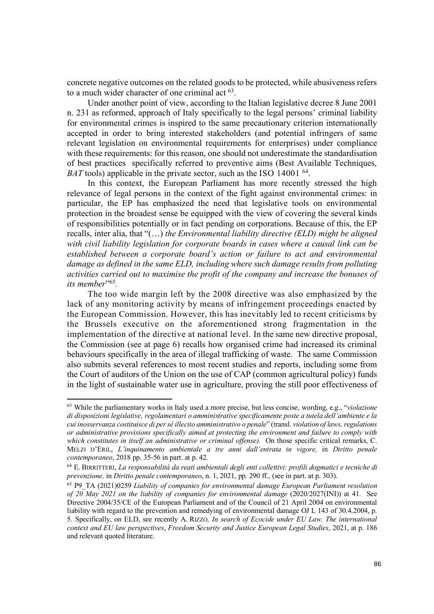concrete negative outcomes on the related goods to be protected, while abusiveness refers to a much wider character of one criminal act  $^{63}$ .

Under another point of view, according to the Italian legislative decree 8 June 2001 n. 231 as reformed, approach of Italy specifically to the legal persons' criminal liability for environmental crimes is inspired to the same precautionary criterion internationally accepted in order to bring interested stakeholders (and potential infringers of same relevant legislation on environmental requirements for enterprises) under compliance with these requirements: for this reason, one should not underestimate the standardisation of best practices specifically referred to preventive aims (Best Available Techniques, *BAT* tools) applicable in the private sector, such as the ISO 14001<sup>64</sup>.

In this context, the European Parliament has more recently stressed the high relevance of legal persons in the context of the fight against environmental crimes: in particular, the EP has emphasized the need that legislative tools on environmental protection in the broadest sense be equipped with the view of covering the several kinds of responsibilities potentially or in fact pending on corporations. Because of this, the EP recalls, inter alia, that "(…) *the Environmental liability directive (ELD) might be aligned with civil liability legislation for corporate boards in cases where a causal link can be established between a corporate board's action or failure to act and environmental damage as defined in the same ELD, including where such damage results from polluting activities carried out to maximise the profit of the company and increase the bonuses of its member*"65*.*

The too wide margin left by the 2008 directive was also emphasized by the lack of any monitoring activity by means of infringement proceedings enacted by the European Commission. However, this has inevitably led to recent criticisms by the Brussels executive on the aforementioned strong fragmentation in the implementation of the directive at national level. In the same new directive proposal, the Commission (see at page 6) recalls how organised crime had increased its criminal behaviours specifically in the area of illegal trafficking of waste. The same Commission also submits several references to most recent studies and reports, including some from the Court of auditors of the Union on the use of CAP (common agricultural policy) funds in the light of sustainable water use in agriculture, proving the still poor effectiveness of

<sup>63</sup> While the parliamentary works in Italy used a more precise, but less concise, wording, e.g., "*violazione di disposizioni legislative, regolamentari o amministrative specificamente poste a tutela dell'ambiente e la cui inosservanza costituisce di per sé illecito amministrativo o penale*" (transl. *violation of laws, regulations or administrative provisions specifically aimed at protecting the environment and failure to comply with which constitutes in itself an administrative or criminal offense).* On those specific critical remarks, C. MELZI D'ERIL, *L'inquinamento ambientale a tre anni dall'entrata in vigore,* in *Diritto penale contemporaneo*, 2018 pp. 35-56 in part. at p. 42.

<sup>64</sup> E. BIRRITTERI, *La responsabilità da reati ambientali degli enti collettivi: profili dogmatici e tecniche di prevenzione,* in *Diritto penale contemporaneo*, n. 1, 2021, pp. 290 ff., (see in part. at p. 303).

<sup>65</sup> P9\_TA (2021)0259 *Liability of companies for environmental damage European Parliament resolution of 20 May 2021 on the liability of companies for environmental damage* (2020/2027(INI)) at 41. See Directive 2004/35/CE of the European Parliament and of the Council of 21 April 2004 on environmental liability with regard to the prevention and remedying of environmental damage OJ L 143 of 30.4.2004, p. 5. Specifically, on ELD, see recently A. RIZZO*, In search of Ecocide under EU Law. The international context and EU law perspectives*, *Freedom Security and Justice European Legal Studies*, 2021, at p. 186 and relevant quoted literature.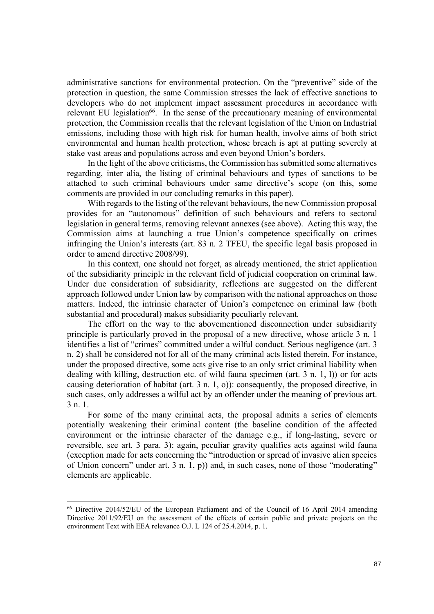administrative sanctions for environmental protection. On the "preventive" side of the protection in question, the same Commission stresses the lack of effective sanctions to developers who do not implement impact assessment procedures in accordance with relevant EU legislation<sup>66</sup>. In the sense of the precautionary meaning of environmental protection, the Commission recalls that the relevant legislation of the Union on Industrial emissions, including those with high risk for human health, involve aims of both strict environmental and human health protection, whose breach is apt at putting severely at stake vast areas and populations across and even beyond Union's borders.

In the light of the above criticisms, the Commission has submitted some alternatives regarding, inter alia, the listing of criminal behaviours and types of sanctions to be attached to such criminal behaviours under same directive's scope (on this, some comments are provided in our concluding remarks in this paper).

With regards to the listing of the relevant behaviours, the new Commission proposal provides for an "autonomous" definition of such behaviours and refers to sectoral legislation in general terms, removing relevant annexes (see above). Acting this way, the Commission aims at launching a true Union's competence specifically on crimes infringing the Union's interests (art. 83 n. 2 TFEU, the specific legal basis proposed in order to amend directive 2008/99).

In this context, one should not forget, as already mentioned, the strict application of the subsidiarity principle in the relevant field of judicial cooperation on criminal law. Under due consideration of subsidiarity, reflections are suggested on the different approach followed under Union law by comparison with the national approaches on those matters. Indeed, the intrinsic character of Union's competence on criminal law (both substantial and procedural) makes subsidiarity peculiarly relevant.

The effort on the way to the abovementioned disconnection under subsidiarity principle is particularly proved in the proposal of a new directive, whose article 3 n. 1 identifies a list of "crimes" committed under a wilful conduct. Serious negligence (art. 3 n. 2) shall be considered not for all of the many criminal acts listed therein. For instance, under the proposed directive, some acts give rise to an only strict criminal liability when dealing with killing, destruction etc. of wild fauna specimen (art. 3 n. 1, l)) or for acts causing deterioration of habitat (art. 3 n. 1, o)): consequently, the proposed directive, in such cases, only addresses a wilful act by an offender under the meaning of previous art. 3 n. 1.

For some of the many criminal acts, the proposal admits a series of elements potentially weakening their criminal content (the baseline condition of the affected environment or the intrinsic character of the damage e.g., if long-lasting, severe or reversible, see art. 3 para. 3): again, peculiar gravity qualifies acts against wild fauna (exception made for acts concerning the "introduction or spread of invasive alien species of Union concern" under art. 3 n. 1, p)) and, in such cases, none of those "moderating" elements are applicable.

<sup>66</sup> Directive 2014/52/EU of the European Parliament and of the Council of 16 April 2014 amending Directive 2011/92/EU on the assessment of the effects of certain public and private projects on the environment Text with EEA relevance O.J. L 124 of 25.4.2014, p. 1.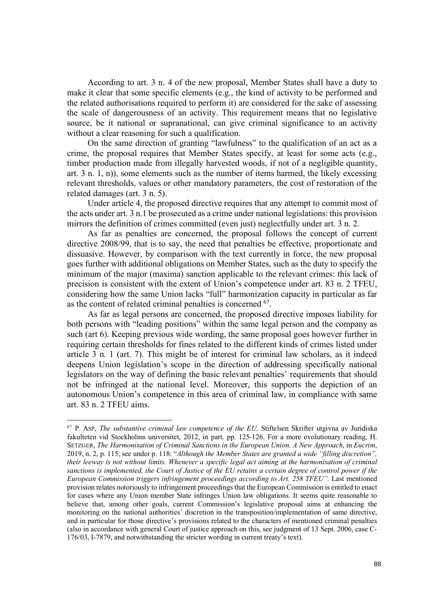According to art. 3 n. 4 of the new proposal, Member States shall have a duty to make it clear that some specific elements (e.g., the kind of activity to be performed and the related authorisations required to perform it) are considered for the sake of assessing the scale of dangerousness of an activity. This requirement means that no legislative source, be it national or supranational, can give criminal significance to an activity without a clear reasoning for such a qualification.

On the same direction of granting "lawfulness" to the qualification of an act as a crime, the proposal requires that Member States specify, at least for some acts (e.g., timber production made from illegally harvested woods, if not of a negligible quantity, art. 3 n. 1, n)), some elements such as the number of items harmed, the likely excessing relevant thresholds, values or other mandatory parameters, the cost of restoration of the related damages (art. 3 n. 5).

Under article 4, the proposed directive requires that any attempt to commit most of the acts under art. 3 n.1 be prosecuted as a crime under national legislations: this provision mirrors the definition of crimes committed (even just) neglectfully under art. 3 n. 2.

As far as penalties are concerned, the proposal follows the concept of current directive 2008/99, that is to say, the need that penalties be effective, proportionate and dissuasive. However, by comparison with the text currently in force, the new proposal goes further with additional obligations on Member States, such as the duty to specify the minimum of the major (maxima) sanction applicable to the relevant crimes: this lack of precision is consistent with the extent of Union's competence under art. 83 n. 2 TFEU, considering how the same Union lacks "full" harmonization capacity in particular as far as the content of related criminal penalties is concerned 67.

As far as legal persons are concerned, the proposed directive imposes liability for both persons with "leading positions" within the same legal person and the company as such (art 6). Keeping previous wide wording, the same proposal goes however further in requiring certain thresholds for fines related to the different kinds of crimes listed under article 3 n. 1 (art. 7). This might be of interest for criminal law scholars, as it indeed deepens Union legislation's scope in the direction of addressing specifically national legislators on the way of defining the basic relevant penalties' requirements that should not be infringed at the national level. Moreover, this supports the depiction of an autonomous Union's competence in this area of criminal law, in compliance with same art. 83 n. 2 TFEU aims.

<sup>67</sup> P. ASP, *The substantive criminal law competence of the EU,* Stiftelsen Skrifter utgivna av Juridiska fakulteten vid Stockholms universitet, 2012, in part. pp. 125-126. For a more evolutionary reading, H. SETZGER, *The Harmonisation of Criminal Sanctions in the European Union. A New Approach*, in *Eucrim*, 2019, n. 2, p. 115, see under p. 118: "*Although the Member States are granted a wide "filling discretion", their leeway is not without limits. Whenever a specific legal act aiming at the harmonisation of criminal sanctions is implemented, the Court of Justice of the EU retains a certain degree of control power if the European Commission triggers infringement proceedings according to Art. 258 TFEU".* Last mentioned provision relates notoriously to infringement proceedings that the European Commission is entitled to enact for cases where any Union member State infringes Union law obligations. It seems quite reasonable to believe that, among other goals, current Commission's legislative proposal aims at enhancing the monitoring on the national authorities' discretion in the transposition/implementation of same directive, and in particular for those directive's provisions related to the characters of mentioned criminal penalties (also in accordance with general Court of justice approach on this, see judgment of 13 Sept. 2006, case C-176/03, I-7879, and notwithstanding the stricter wording in current treaty's text).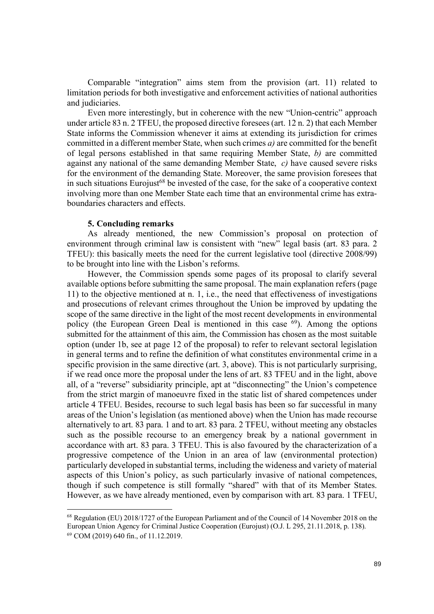Comparable "integration" aims stem from the provision (art. 11) related to limitation periods for both investigative and enforcement activities of national authorities and judiciaries.

Even more interestingly, but in coherence with the new "Union-centric" approach under article 83 n. 2 TFEU, the proposed directive foresees (art. 12 n. 2) that each Member State informs the Commission whenever it aims at extending its jurisdiction for crimes committed in a different member State, when such crimes *a)* are committed for the benefit of legal persons established in that same requiring Member State, *b)* are committed against any national of the same demanding Member State, *c)* have caused severe risks for the environment of the demanding State. Moreover, the same provision foresees that in such situations Eurojust<sup>68</sup> be invested of the case, for the sake of a cooperative context involving more than one Member State each time that an environmental crime has extraboundaries characters and effects.

#### **5. Concluding remarks**

l

As already mentioned, the new Commission's proposal on protection of environment through criminal law is consistent with "new" legal basis (art. 83 para. 2 TFEU): this basically meets the need for the current legislative tool (directive 2008/99) to be brought into line with the Lisbon's reforms.

However, the Commission spends some pages of its proposal to clarify several available options before submitting the same proposal. The main explanation refers (page 11) to the objective mentioned at n. 1, i.e., the need that effectiveness of investigations and prosecutions of relevant crimes throughout the Union be improved by updating the scope of the same directive in the light of the most recent developments in environmental policy (the European Green Deal is mentioned in this case  $^{69}$ ). Among the options submitted for the attainment of this aim, the Commission has chosen as the most suitable option (under 1b, see at page 12 of the proposal) to refer to relevant sectoral legislation in general terms and to refine the definition of what constitutes environmental crime in a specific provision in the same directive (art. 3, above). This is not particularly surprising, if we read once more the proposal under the lens of art. 83 TFEU and in the light, above all, of a "reverse" subsidiarity principle, apt at "disconnecting" the Union's competence from the strict margin of manoeuvre fixed in the static list of shared competences under article 4 TFEU. Besides, recourse to such legal basis has been so far successful in many areas of the Union's legislation (as mentioned above) when the Union has made recourse alternatively to art. 83 para. 1 and to art. 83 para. 2 TFEU, without meeting any obstacles such as the possible recourse to an emergency break by a national government in accordance with art. 83 para. 3 TFEU. This is also favoured by the characterization of a progressive competence of the Union in an area of law (environmental protection) particularly developed in substantial terms, including the wideness and variety of material aspects of this Union's policy, as such particularly invasive of national competences, though if such competence is still formally "shared" with that of its Member States. However, as we have already mentioned, even by comparison with art. 83 para. 1 TFEU,

<sup>68</sup> Regulation (EU) 2018/1727 of the European Parliament and of the Council of 14 November 2018 on the European Union Agency for Criminal Justice Cooperation (Eurojust) (O.J. L 295, 21.11.2018, p. 138). <sup>69</sup> COM (2019) 640 fin., of 11.12.2019.